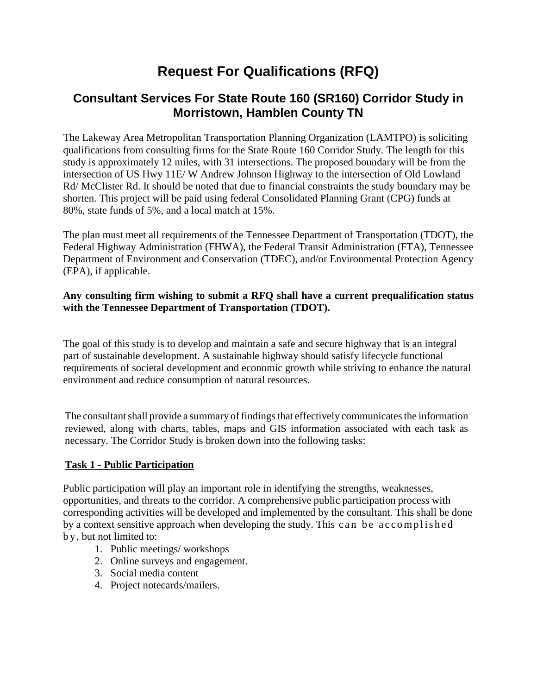# **Request For Qualifications (RFQ)**

# **Consultant Services For State Route 160 (SR160) Corridor Study in Morristown, Hamblen County TN**

The Lakeway Area Metropolitan Transportation Planning Organization (LAMTPO) is soliciting qualifications from consulting firms for the State Route 160 Corridor Study. The length for this study is approximately 12 miles, with 31 intersections. The proposed boundary will be from the intersection of US Hwy 11E/ W Andrew Johnson Highway to the intersection of Old Lowland Rd/ McClister Rd. It should be noted that due to financial constraints the study boundary may be shorten. This project will be paid using federal Consolidated Planning Grant (CPG) funds at 80%, state funds of 5%, and a local match at 15%.

The plan must meet all requirements of the Tennessee Department of Transportation (TDOT), the Federal Highway Administration (FHWA), the Federal Transit Administration (FTA), Tennessee Department of Environment and Conservation (TDEC), and/or Environmental Protection Agency (EPA), if applicable.

#### **Any consulting firm wishing to submit a RFQ shall have a current prequalification status with the Tennessee Department of Transportation (TDOT).**

The goal of this study is to develop and maintain a safe and secure highway that is an integral part of sustainable development. A sustainable highway should satisfy lifecycle functional requirements of societal development and economic growth while striving to enhance the natural environment and reduce consumption of natural resources.

The consultant shall provide a summary of findings that effectively communicates the information reviewed, along with charts, tables, maps and GIS information associated with each task as necessary. The Corridor Study is broken down into the following tasks:

## **Task 1** ‐ **Public Participation**

Public participation will play an important role in identifying the strengths, weaknesses, opportunities, and threats to the corridor. A comprehensive public participation process with corresponding activities will be developed and implemented by the consultant. This shall be done by a context sensitive approach when developing the study. This can be accomplished b y, but not limited to:

- 1. Public meetings/ workshops
- 2. Online surveys and engagement.
- 3. Social media content
- 4. Project notecards/mailers.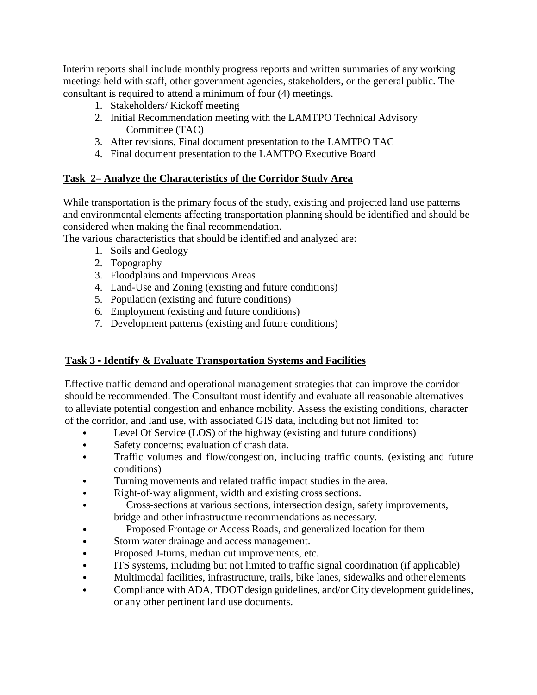Interim reports shall include monthly progress reports and written summaries of any working meetings held with staff, other government agencies, stakeholders, or the general public. The consultant is required to attend a minimum of four (4) meetings.

- 1. Stakeholders/ Kickoff meeting
- 2. Initial Recommendation meeting with the LAMTPO Technical Advisory Committee (TAC)
- 3. After revisions, Final document presentation to the LAMTPO TAC
- 4. Final document presentation to the LAMTPO Executive Board

# **Task 2– Analyze the Characteristics of the Corridor Study Area**

While transportation is the primary focus of the study, existing and projected land use patterns and environmental elements affecting transportation planning should be identified and should be considered when making the final recommendation.

The various characteristics that should be identified and analyzed are:

- 1. Soils and Geology
- 2. Topography
- 3. Floodplains and Impervious Areas
- 4. Land-Use and Zoning (existing and future conditions)
- 5. Population (existing and future conditions)
- 6. Employment (existing and future conditions)
- 7. Development patterns (existing and future conditions)

## **Task 3** ‐ **Identify & Evaluate Transportation Systems and Facilities**

Effective traffic demand and operational management strategies that can improve the corridor should be recommended. The Consultant must identify and evaluate all reasonable alternatives to alleviate potential congestion and enhance mobility. Assess the existing conditions, character of the corridor, and land use, with associated GIS data, including but not limited to:

- Level Of Service (LOS) of the highway (existing and future conditions)
- Safety concerns; evaluation of crash data.
- Traffic volumes and flow/congestion, including traffic counts. (existing and future conditions)
- Turning movements and related traffic impact studies in the area.
- Right-of-way alignment, width and existing cross sections.
- Cross‐sections at various sections, intersection design, safety improvements, bridge and other infrastructure recommendations as necessary.
	- Proposed Frontage or Access Roads, and generalized location for them
- Storm water drainage and access management.
- Proposed J-turns, median cut improvements, etc.
- ITS systems, including but not limited to traffic signal coordination (if applicable)
- Multimodal facilities, infrastructure, trails, bike lanes, sidewalks and other elements
- Compliance with ADA, TDOT design guidelines, and/or City development guidelines, or any other pertinent land use documents.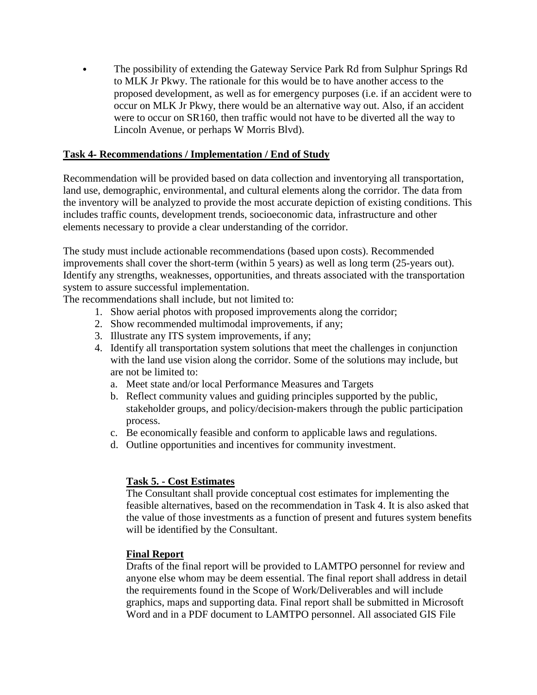• The possibility of extending the Gateway Service Park Rd from Sulphur Springs Rd to MLK Jr Pkwy. The rationale for this would be to have another access to the proposed development, as well as for emergency purposes (i.e. if an accident were to occur on MLK Jr Pkwy, there would be an alternative way out. Also, if an accident were to occur on SR160, then traffic would not have to be diverted all the way to Lincoln Avenue, or perhaps W Morris Blvd).

#### **Task 4**‐ **Recommendations / Implementation / End of Study**

Recommendation will be provided based on data collection and inventorying all transportation, land use, demographic, environmental, and cultural elements along the corridor. The data from the inventory will be analyzed to provide the most accurate depiction of existing conditions. This includes traffic counts, development trends, socioeconomic data, infrastructure and other elements necessary to provide a clear understanding of the corridor.

The study must include actionable recommendations (based upon costs). Recommended improvements shall cover the short-term (within 5 years) as well as long term (25-years out). Identify any strengths, weaknesses, opportunities, and threats associated with the transportation system to assure successful implementation.

The recommendations shall include, but not limited to:

- 1. Show aerial photos with proposed improvements along the corridor;
- 2. Show recommended multimodal improvements, if any;
- 3. Illustrate any ITS system improvements, if any;
- 4. Identify all transportation system solutions that meet the challenges in conjunction with the land use vision along the corridor. Some of the solutions may include, but are not be limited to:
	- a. Meet state and/or local Performance Measures and Targets
	- b. Reflect community values and guiding principles supported by the public, stakeholder groups, and policy/decision‐makers through the public participation process.
	- c. Be economically feasible and conform to applicable laws and regulations.
	- d. Outline opportunities and incentives for community investment.

## **Task 5. - Cost Estimates**

The Consultant shall provide conceptual cost estimates for implementing the feasible alternatives, based on the recommendation in Task 4. It is also asked that the value of those investments as a function of present and futures system benefits will be identified by the Consultant.

#### **Final Report**

Drafts of the final report will be provided to LAMTPO personnel for review and anyone else whom may be deem essential. The final report shall address in detail the requirements found in the Scope of Work/Deliverables and will include graphics, maps and supporting data. Final report shall be submitted in Microsoft Word and in a PDF document to LAMTPO personnel. All associated GIS File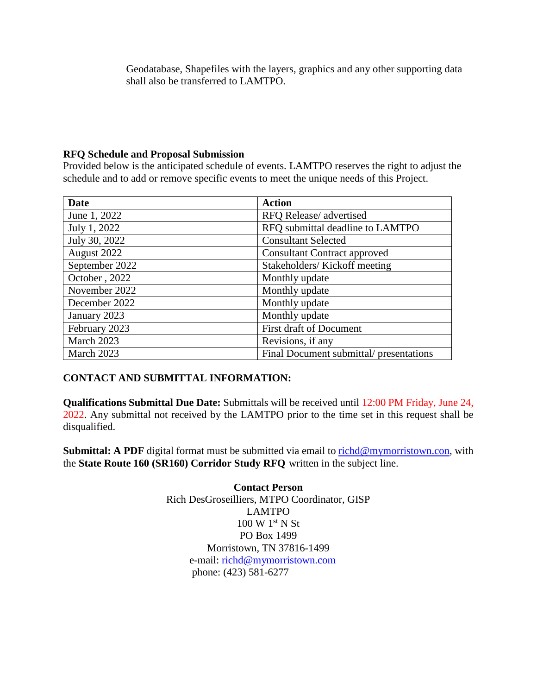Geodatabase, Shapefiles with the layers, graphics and any other supporting data shall also be transferred to LAMTPO.

#### **RFQ Schedule and Proposal Submission**

Provided below is the anticipated schedule of events. LAMTPO reserves the right to adjust the schedule and to add or remove specific events to meet the unique needs of this Project.

| <b>Date</b>    | <b>Action</b>                           |
|----------------|-----------------------------------------|
| June 1, 2022   | RFQ Release/advertised                  |
| July 1, 2022   | RFQ submittal deadline to LAMTPO        |
| July 30, 2022  | <b>Consultant Selected</b>              |
| August 2022    | <b>Consultant Contract approved</b>     |
| September 2022 | Stakeholders/Kickoff meeting            |
| October, 2022  | Monthly update                          |
| November 2022  | Monthly update                          |
| December 2022  | Monthly update                          |
| January 2023   | Monthly update                          |
| February 2023  | First draft of Document                 |
| March 2023     | Revisions, if any                       |
| March 2023     | Final Document submittal/ presentations |

## **CONTACT AND SUBMITTAL INFORMATION:**

**Qualifications Submittal Due Date:** Submittals will be received until 12:00 PM Friday, June 24, 2022. Any submittal not received by the LAMTPO prior to the time set in this request shall be disqualified.

**Submittal: A PDF** digital format must be submitted via email to [richd@mymorristown.con,](mailto:richd@mymorristown.con) with the **State Route 160 (SR160) Corridor Study RFQ** written in the subject line.

> **Contact Person** Rich DesGroseilliers, MTPO Coordinator, GISP LAMTPO  $100 \text{ W } 1^{\text{st}} \text{ N }$  St PO Box 1499 Morristown, TN 37816-1499 e-mail: [richd@mymorristown.com](mailto:richd@mymorristown.com) phone: (423) 581-6277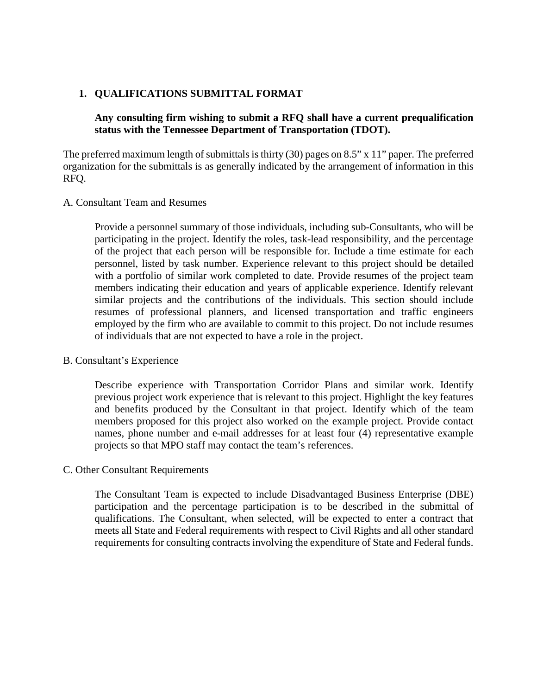#### **1. QUALIFICATIONS SUBMITTAL FORMAT**

## **Any consulting firm wishing to submit a RFQ shall have a current prequalification status with the Tennessee Department of Transportation (TDOT).**

The preferred maximum length of submittals is thirty (30) pages on 8.5" x 11" paper. The preferred organization for the submittals is as generally indicated by the arrangement of information in this RFQ.

#### A. Consultant Team and Resumes

Provide a personnel summary of those individuals, including sub-Consultants, who will be participating in the project. Identify the roles, task-lead responsibility, and the percentage of the project that each person will be responsible for. Include a time estimate for each personnel, listed by task number. Experience relevant to this project should be detailed with a portfolio of similar work completed to date. Provide resumes of the project team members indicating their education and years of applicable experience. Identify relevant similar projects and the contributions of the individuals. This section should include resumes of professional planners, and licensed transportation and traffic engineers employed by the firm who are available to commit to this project. Do not include resumes of individuals that are not expected to have a role in the project.

#### B. Consultant's Experience

Describe experience with Transportation Corridor Plans and similar work. Identify previous project work experience that is relevant to this project. Highlight the key features and benefits produced by the Consultant in that project. Identify which of the team members proposed for this project also worked on the example project. Provide contact names, phone number and e-mail addresses for at least four (4) representative example projects so that MPO staff may contact the team's references.

#### C. Other Consultant Requirements

The Consultant Team is expected to include Disadvantaged Business Enterprise (DBE) participation and the percentage participation is to be described in the submittal of qualifications. The Consultant, when selected, will be expected to enter a contract that meets all State and Federal requirements with respect to Civil Rights and all other standard requirements for consulting contracts involving the expenditure of State and Federal funds.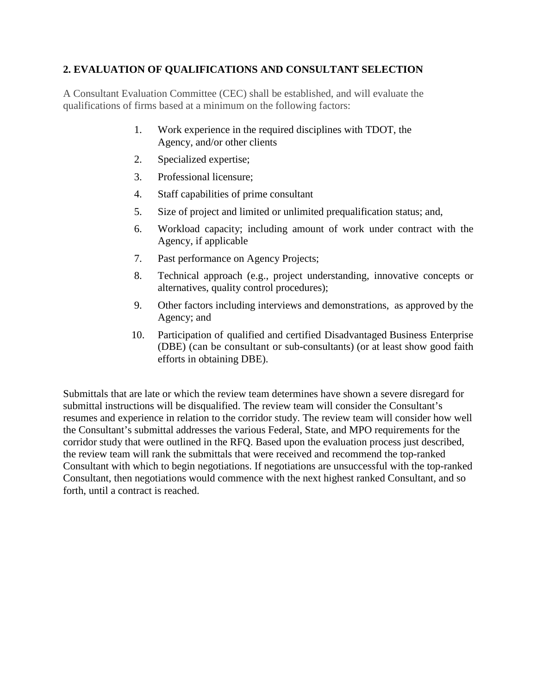# **2. EVALUATION OF QUALIFICATIONS AND CONSULTANT SELECTION**

A Consultant Evaluation Committee (CEC) shall be established, and will evaluate the qualifications of firms based at a minimum on the following factors:

- 1. Work experience in the required disciplines with TDOT, the Agency, and/or other clients
- 2. Specialized expertise;
- 3. Professional licensure;
- 4. Staff capabilities of prime consultant
- 5. Size of project and limited or unlimited prequalification status; and,
- 6. Workload capacity; including amount of work under contract with the Agency, if applicable
- 7. Past performance on Agency Projects;
- 8. Technical approach (e.g., project understanding, innovative concepts or alternatives, quality control procedures);
- 9. Other factors including interviews and demonstrations, as approved by the Agency; and
- 10. Participation of qualified and certified Disadvantaged Business Enterprise (DBE) (can be consultant or sub-consultants) (or at least show good faith efforts in obtaining DBE).

Submittals that are late or which the review team determines have shown a severe disregard for submittal instructions will be disqualified. The review team will consider the Consultant's resumes and experience in relation to the corridor study. The review team will consider how well the Consultant's submittal addresses the various Federal, State, and MPO requirements for the corridor study that were outlined in the RFQ. Based upon the evaluation process just described, the review team will rank the submittals that were received and recommend the top-ranked Consultant with which to begin negotiations. If negotiations are unsuccessful with the top-ranked Consultant, then negotiations would commence with the next highest ranked Consultant, and so forth, until a contract is reached.